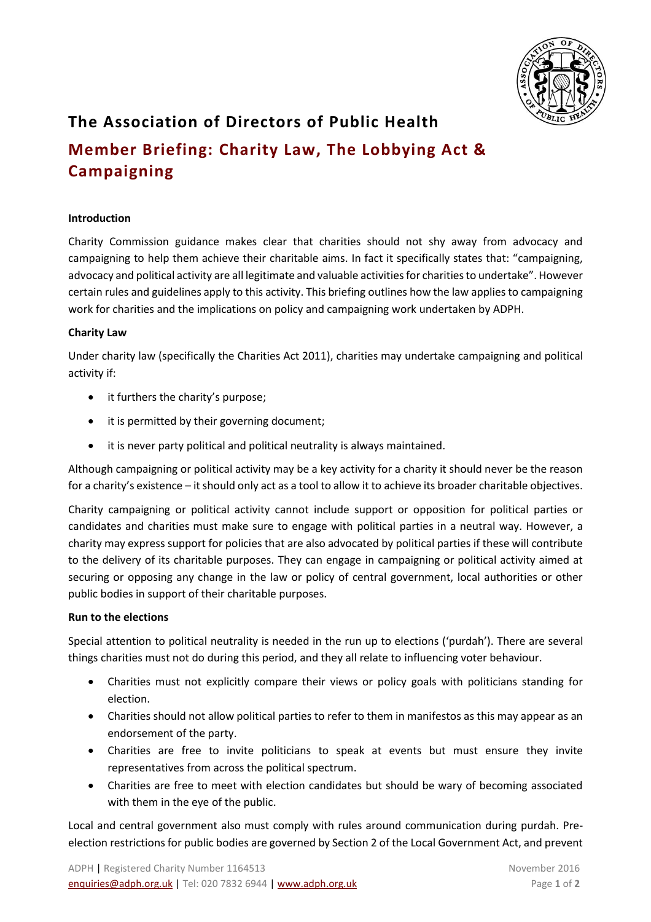

# **The Association of Directors of Public Health**

# **Member Briefing: Charity Law, The Lobbying Act & Campaigning**

# **Introduction**

Charity Commission guidance makes clear that charities should not shy away from advocacy and campaigning to help them achieve their charitable aims. In fact it specifically states that: "campaigning, advocacy and political activity are all legitimate and valuable activities for charities to undertake". However certain rules and guidelines apply to this activity. This briefing outlines how the law applies to campaigning work for charities and the implications on policy and campaigning work undertaken by ADPH.

# **Charity Law**

Under charity law (specifically the Charities Act 2011), charities may undertake campaigning and political activity if:

- it furthers the charity's purpose;
- it is permitted by their governing document;
- it is never party political and political neutrality is always maintained.

Although campaigning or political activity may be a key activity for a charity it should never be the reason for a charity's existence – it should only act as a tool to allow it to achieve its broader charitable objectives.

Charity campaigning or political activity cannot include support or opposition for political parties or candidates and charities must make sure to engage with political parties in a neutral way. However, a charity may express support for policies that are also advocated by political parties if these will contribute to the delivery of its charitable purposes. They can engage in campaigning or political activity aimed at securing or opposing any change in the law or policy of central government, local authorities or other public bodies in support of their charitable purposes.

# **Run to the elections**

Special attention to political neutrality is needed in the run up to elections ('purdah'). There are several things charities must not do during this period, and they all relate to influencing voter behaviour.

- Charities must not explicitly compare their views or policy goals with politicians standing for election.
- Charities should not allow political parties to refer to them in manifestos as this may appear as an endorsement of the party.
- Charities are free to invite politicians to speak at events but must ensure they invite representatives from across the political spectrum.
- Charities are free to meet with election candidates but should be wary of becoming associated with them in the eye of the public.

Local and central government also must comply with rules around communication during purdah. Preelection restrictions for public bodies are governed by Section 2 of the Local Government Act, and prevent